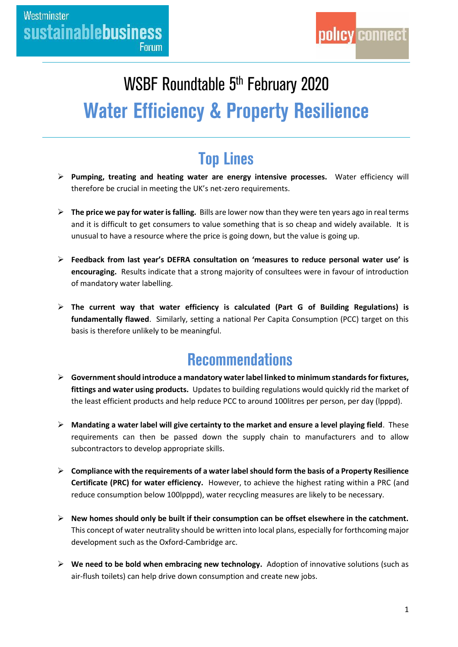# WSBF Roundtable 5<sup>th</sup> February 2020 **Water Efficiency & Property Resilience**

# **Top Lines**

- **Pumping, treating and heating water are energy intensive processes.** Water efficiency will therefore be crucial in meeting the UK's net-zero requirements.
- **The price we pay for water is falling.** Bills are lower now than they were ten years ago in real terms and it is difficult to get consumers to value something that is so cheap and widely available. It is unusual to have a resource where the price is going down, but the value is going up.
- **Feedback from last year's DEFRA consultation on 'measures to reduce personal water use' is encouraging.** Results indicate that a strong majority of consultees were in favour of introduction of mandatory water labelling.
- **The current way that water efficiency is calculated (Part G of Building Regulations) is fundamentally flawed**. Similarly, setting a national Per Capita Consumption (PCC) target on this basis is therefore unlikely to be meaningful.

## **Recommendations**

- **Government should introduce a mandatory water label linked to minimum standards for fixtures, fittings and water using products.** Updates to building regulations would quickly rid the market of the least efficient products and help reduce PCC to around 100litres per person, per day (lpppd).
- **Mandating a water label will give certainty to the market and ensure a level playing field**. These requirements can then be passed down the supply chain to manufacturers and to allow subcontractors to develop appropriate skills.
- **Compliance with the requirements of a water labelshould form the basis of a Property Resilience Certificate (PRC) for water efficiency.** However, to achieve the highest rating within a PRC (and reduce consumption below 100lpppd), water recycling measures are likely to be necessary.
- **New homes should only be built if their consumption can be offset elsewhere in the catchment.**  This concept of water neutrality should be written into local plans, especially for forthcoming major development such as the Oxford-Cambridge arc.
- **We need to be bold when embracing new technology.** Adoption of innovative solutions (such as air-flush toilets) can help drive down consumption and create new jobs.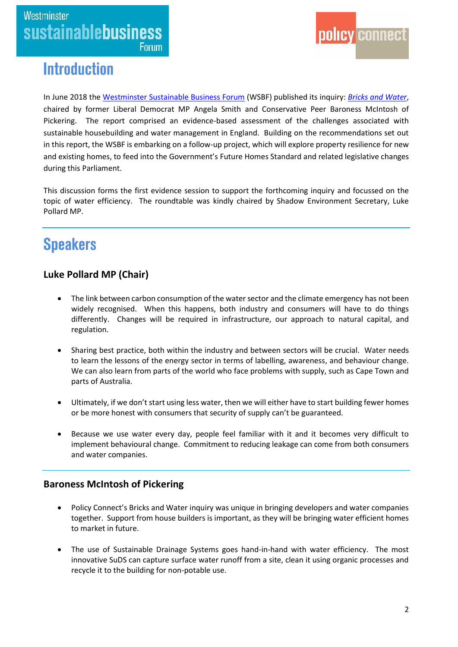



### **Introduction**

In June 2018 the [Westminster Sustainable Business Forum](https://www.policyconnect.org.uk/wsbf/) (WSBF) published its inquiry: *[Bricks and Water](https://www.policyconnect.org.uk/research/bricks-water-plan-action-building-homes-and-managing-water-england)*, chaired by former Liberal Democrat MP Angela Smith and Conservative Peer Baroness McIntosh of Pickering. The report comprised an evidence-based assessment of the challenges associated with sustainable housebuilding and water management in England. Building on the recommendations set out in this report, the WSBF is embarking on a follow-up project, which will explore property resilience for new and existing homes, to feed into the Government's Future Homes Standard and related legislative changes during this Parliament.

This discussion forms the first evidence session to support the forthcoming inquiry and focussed on the topic of water efficiency. The roundtable was kindly chaired by Shadow Environment Secretary, Luke Pollard MP.

## **Speakers**

#### **Luke Pollard MP (Chair)**

- The link between carbon consumption of the water sector and the climate emergency has not been widely recognised. When this happens, both industry and consumers will have to do things differently. Changes will be required in infrastructure, our approach to natural capital, and regulation.
- Sharing best practice, both within the industry and between sectors will be crucial. Water needs to learn the lessons of the energy sector in terms of labelling, awareness, and behaviour change. We can also learn from parts of the world who face problems with supply, such as Cape Town and parts of Australia.
- Ultimately, if we don't start using less water, then we will either have to start building fewer homes or be more honest with consumers that security of supply can't be guaranteed.
- Because we use water every day, people feel familiar with it and it becomes very difficult to implement behavioural change. Commitment to reducing leakage can come from both consumers and water companies.

#### **Baroness McIntosh of Pickering**

- Policy Connect's Bricks and Water inquiry was unique in bringing developers and water companies together. Support from house builders is important, as they will be bringing water efficient homes to market in future.
- The use of Sustainable Drainage Systems goes hand-in-hand with water efficiency. The most innovative SuDS can capture surface water runoff from a site, clean it using organic processes and recycle it to the building for non-potable use.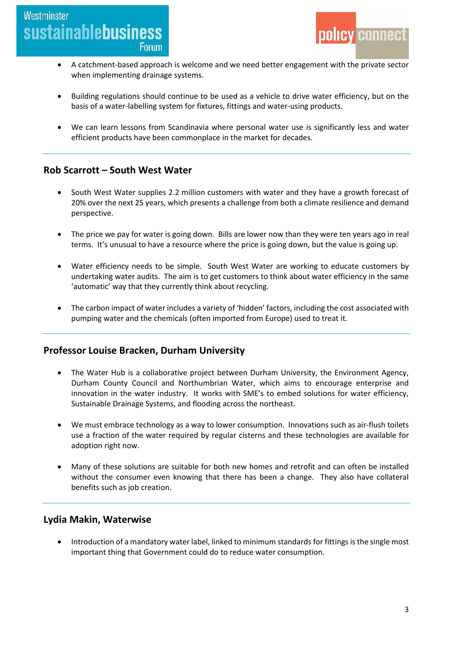### Westminster **sustainablebusiness Forum**



- A catchment-based approach is welcome and we need better engagement with the private sector when implementing drainage systems.
- Building regulations should continue to be used as a vehicle to drive water efficiency, but on the basis of a water-labelling system for fixtures, fittings and water-using products.
- We can learn lessons from Scandinavia where personal water use is significantly less and water efficient products have been commonplace in the market for decades.

#### **Rob Scarrott – South West Water**

- South West Water supplies 2.2 million customers with water and they have a growth forecast of 20% over the next 25 years, which presents a challenge from both a climate resilience and demand perspective.
- The price we pay for water is going down. Bills are lower now than they were ten years ago in real terms. It's unusual to have a resource where the price is going down, but the value is going up.
- Water efficiency needs to be simple. South West Water are working to educate customers by undertaking water audits. The aim is to get customers to think about water efficiency in the same 'automatic' way that they currently think about recycling.
- The carbon impact of water includes a variety of 'hidden' factors, including the cost associated with pumping water and the chemicals (often imported from Europe) used to treat it.

#### **Professor Louise Bracken, Durham University**

- The Water Hub is a collaborative project between Durham University, the Environment Agency, Durham County Council and Northumbrian Water, which aims to encourage enterprise and innovation in the water industry. It works with SME's to embed solutions for water efficiency, Sustainable Drainage Systems, and flooding across the northeast.
- We must embrace technology as a way to lower consumption. Innovations such as air-flush toilets use a fraction of the water required by regular cisterns and these technologies are available for adoption right now.
- Many of these solutions are suitable for both new homes and retrofit and can often be installed without the consumer even knowing that there has been a change. They also have collateral benefits such as job creation.

#### **Lydia Makin, Waterwise**

 Introduction of a mandatory water label, linked to minimum standards for fittings is the single most important thing that Government could do to reduce water consumption.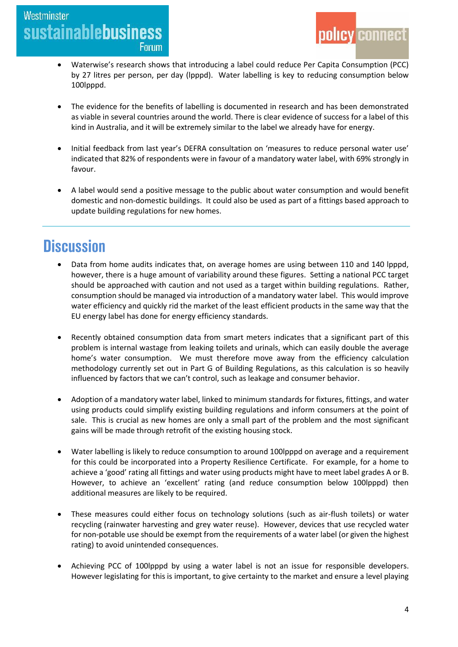### Westminster **sustainablebusiness Forum**



- Waterwise's research shows that introducing a label could reduce Per Capita Consumption (PCC) by 27 litres per person, per day (lpppd). Water labelling is key to reducing consumption below 100lpppd.
- The evidence for the benefits of labelling is documented in research and has been demonstrated as viable in several countries around the world. There is clear evidence of success for a label of this kind in Australia, and it will be extremely similar to the label we already have for energy.
- Initial feedback from last year's DEFRA consultation on 'measures to reduce personal water use' indicated that 82% of respondents were in favour of a mandatory water label, with 69% strongly in favour.
- A label would send a positive message to the public about water consumption and would benefit domestic and non-domestic buildings. It could also be used as part of a fittings based approach to update building regulations for new homes.

### **Discussion**

- Data from home audits indicates that, on average homes are using between 110 and 140 lpppd, however, there is a huge amount of variability around these figures. Setting a national PCC target should be approached with caution and not used as a target within building regulations. Rather, consumption should be managed via introduction of a mandatory water label. This would improve water efficiency and quickly rid the market of the least efficient products in the same way that the EU energy label has done for energy efficiency standards.
- Recently obtained consumption data from smart meters indicates that a significant part of this problem is internal wastage from leaking toilets and urinals, which can easily double the average home's water consumption. We must therefore move away from the efficiency calculation methodology currently set out in Part G of Building Regulations, as this calculation is so heavily influenced by factors that we can't control, such as leakage and consumer behavior.
- Adoption of a mandatory water label, linked to minimum standards for fixtures, fittings, and water using products could simplify existing building regulations and inform consumers at the point of sale. This is crucial as new homes are only a small part of the problem and the most significant gains will be made through retrofit of the existing housing stock.
- Water labelling is likely to reduce consumption to around 100lpppd on average and a requirement for this could be incorporated into a Property Resilience Certificate. For example, for a home to achieve a 'good' rating all fittings and water using products might have to meet label grades A or B. However, to achieve an 'excellent' rating (and reduce consumption below 100lpppd) then additional measures are likely to be required.
- These measures could either focus on technology solutions (such as air-flush toilets) or water recycling (rainwater harvesting and grey water reuse). However, devices that use recycled water for non-potable use should be exempt from the requirements of a water label (or given the highest rating) to avoid unintended consequences.
- Achieving PCC of 100lpppd by using a water label is not an issue for responsible developers. However legislating for this is important, to give certainty to the market and ensure a level playing